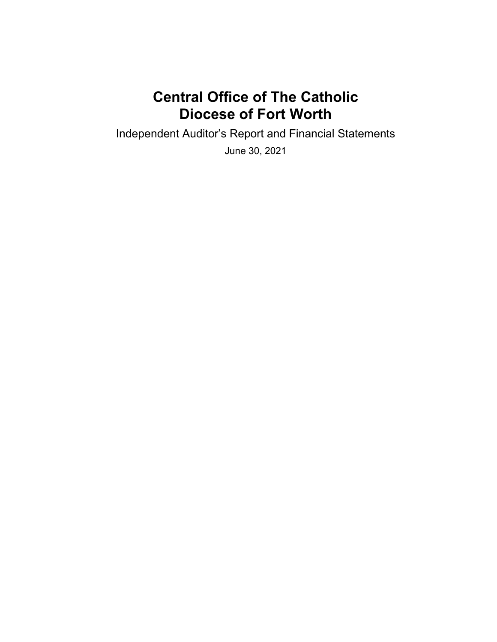Independent Auditor's Report and Financial Statements

June 30, 2021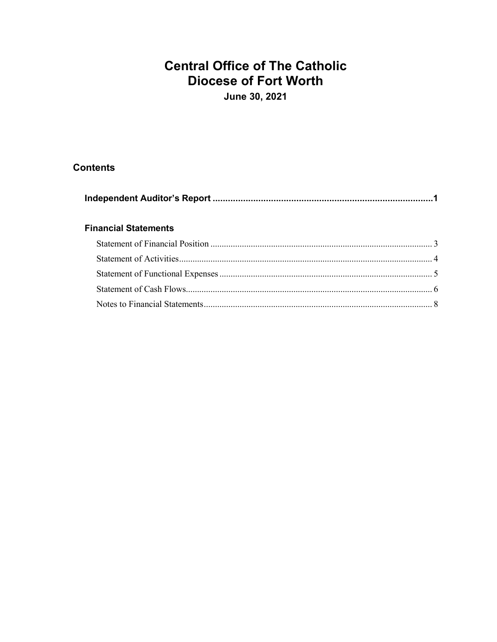June 30, 2021

## **Contents**

| <b>Financial Statements</b> |  |
|-----------------------------|--|
|                             |  |
|                             |  |
|                             |  |
|                             |  |
|                             |  |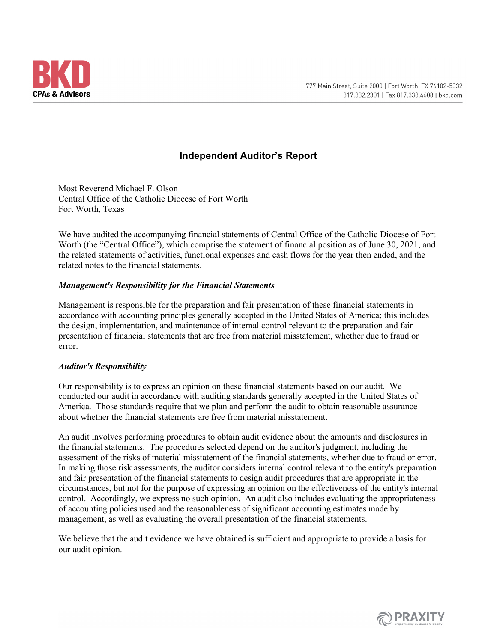

## **Independent Auditor's Report**

Most Reverend Michael F. Olson Central Office of the Catholic Diocese of Fort Worth Fort Worth, Texas

We have audited the accompanying financial statements of Central Office of the Catholic Diocese of Fort Worth (the "Central Office"), which comprise the statement of financial position as of June 30, 2021, and the related statements of activities, functional expenses and cash flows for the year then ended, and the related notes to the financial statements.

### *Management's Responsibility for the Financial Statements*

Management is responsible for the preparation and fair presentation of these financial statements in accordance with accounting principles generally accepted in the United States of America; this includes the design, implementation, and maintenance of internal control relevant to the preparation and fair presentation of financial statements that are free from material misstatement, whether due to fraud or error.

### *Auditor's Responsibility*

Our responsibility is to express an opinion on these financial statements based on our audit. We conducted our audit in accordance with auditing standards generally accepted in the United States of America. Those standards require that we plan and perform the audit to obtain reasonable assurance about whether the financial statements are free from material misstatement.

An audit involves performing procedures to obtain audit evidence about the amounts and disclosures in the financial statements. The procedures selected depend on the auditor's judgment, including the assessment of the risks of material misstatement of the financial statements, whether due to fraud or error. In making those risk assessments, the auditor considers internal control relevant to the entity's preparation and fair presentation of the financial statements to design audit procedures that are appropriate in the circumstances, but not for the purpose of expressing an opinion on the effectiveness of the entity's internal control. Accordingly, we express no such opinion. An audit also includes evaluating the appropriateness of accounting policies used and the reasonableness of significant accounting estimates made by management, as well as evaluating the overall presentation of the financial statements.

We believe that the audit evidence we have obtained is sufficient and appropriate to provide a basis for our audit opinion.

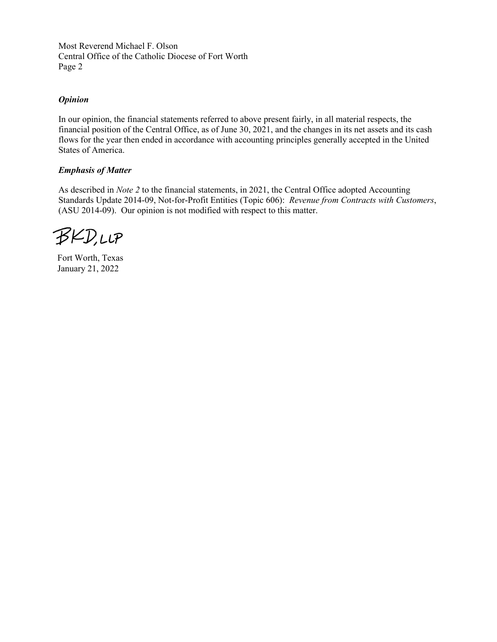Most Reverend Michael F. Olson Central Office of the Catholic Diocese of Fort Worth Page 2

### *Opinion*

In our opinion, the financial statements referred to above present fairly, in all material respects, the financial position of the Central Office, as of June 30, 2021, and the changes in its net assets and its cash flows for the year then ended in accordance with accounting principles generally accepted in the United States of America.

### *Emphasis of Matter*

As described in *Note 2* to the financial statements, in 2021, the Central Office adopted Accounting Standards Update 2014-09, Not-for-Profit Entities (Topic 606): *Revenue from Contracts with Customers*, (ASU 2014-09). Our opinion is not modified with respect to this matter.

**BKD,LLP** 

Fort Worth, Texas January 21, 2022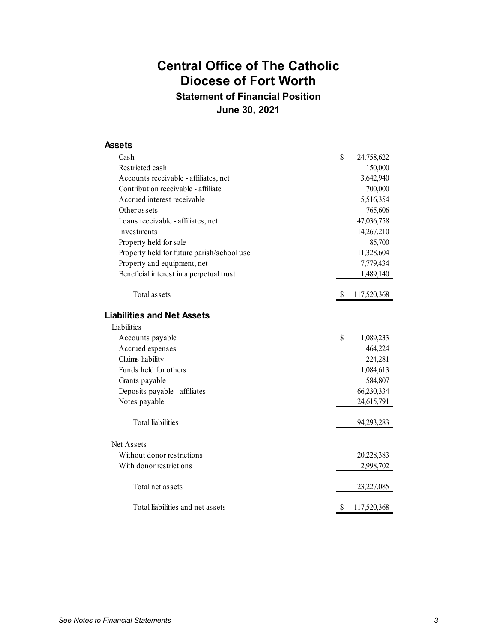**Statement of Financial Position June 30, 2021**

### **Assets**

| Cash                                       | \$<br>24,758,622  |
|--------------------------------------------|-------------------|
| Restricted cash                            | 150,000           |
| Accounts receivable - affiliates, net      | 3,642,940         |
| Contribution receivable - affiliate        | 700,000           |
| Accrued interest receivable                | 5,516,354         |
| Other assets                               | 765,606           |
| Loans receivable - affiliates, net         | 47,036,758        |
| Investments                                | 14,267,210        |
| Property held for sale                     | 85,700            |
| Property held for future parish/school use | 11,328,604        |
| Property and equipment, net                | 7,779,434         |
| Beneficial interest in a perpetual trust   | 1,489,140         |
| Total assets                               | \$<br>117,520,368 |
| <b>Liabilities and Net Assets</b>          |                   |
| Liabilities                                |                   |
| Accounts payable                           | \$<br>1,089,233   |
| Accrued expenses                           | 464,224           |
| Claims liability                           | 224,281           |
| Funds held for others                      | 1,084,613         |
| Grants payable                             | 584,807           |
| Deposits payable - affiliates              | 66,230,334        |
| Notes payable                              | 24,615,791        |
| <b>Total</b> liabilities                   | 94,293,283        |
| Net Assets                                 |                   |
| Without donor restrictions                 | 20,228,383        |
| With donor restrictions                    | 2,998,702         |
|                                            |                   |
| Total net assets                           | 23,227,085        |
| Total liabilities and net assets           | \$<br>117,520,368 |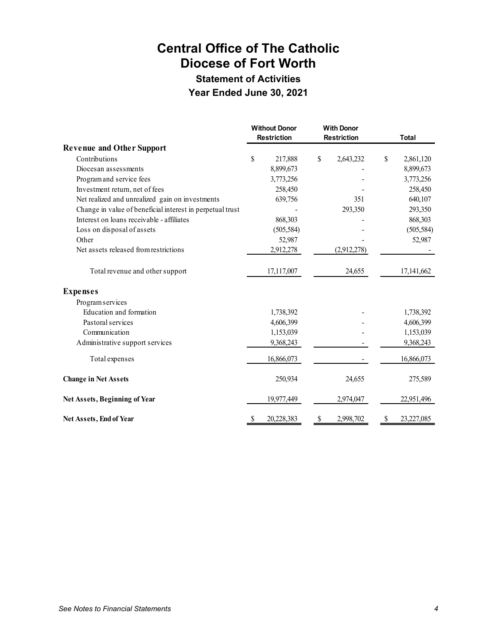# **Statement of Activities**

**Year Ended June 30, 2021**

|                                                           |    | <b>Without Donor</b><br><b>Restriction</b> | <b>With Donor</b><br><b>Restriction</b>                               |             |    | <b>Total</b> |
|-----------------------------------------------------------|----|--------------------------------------------|-----------------------------------------------------------------------|-------------|----|--------------|
| <b>Revenue and Other Support</b>                          |    |                                            |                                                                       |             |    |              |
| Contributions                                             | \$ | 217,888                                    | $\mathbb{S}% _{t}\left( t\right) \equiv\mathbb{S}_{t}\left( t\right)$ | 2,643,232   | \$ | 2,861,120    |
| Diocesan assessments                                      |    | 8,899,673                                  |                                                                       |             |    | 8,899,673    |
| Program and service fees                                  |    | 3,773,256                                  |                                                                       |             |    | 3,773,256    |
| Investment return, net of fees                            |    | 258,450                                    |                                                                       |             |    | 258,450      |
| Net realized and unrealized gain on investments           |    | 639,756                                    |                                                                       | 351         |    | 640,107      |
| Change in value of beneficial interest in perpetual trust |    |                                            |                                                                       | 293,350     |    | 293,350      |
| Interest on loans receivable - affiliates                 |    | 868,303                                    |                                                                       |             |    | 868,303      |
| Loss on disposal of assets                                |    | (505, 584)                                 |                                                                       |             |    | (505, 584)   |
| Other                                                     |    | 52,987                                     |                                                                       |             |    | 52,987       |
| Net assets released from restrictions                     |    | 2,912,278                                  |                                                                       | (2,912,278) |    |              |
| Total revenue and other support                           |    | 17,117,007                                 |                                                                       | 24,655      |    | 17,141,662   |
| <b>Expenses</b>                                           |    |                                            |                                                                       |             |    |              |
| Program services                                          |    |                                            |                                                                       |             |    |              |
| Education and formation                                   |    | 1,738,392                                  |                                                                       |             |    | 1,738,392    |
| Pastoral services                                         |    | 4,606,399                                  |                                                                       |             |    | 4,606,399    |
| Communication                                             |    | 1,153,039                                  |                                                                       |             |    | 1,153,039    |
| Administrative support services                           |    | 9,368,243                                  |                                                                       |             |    | 9,368,243    |
| Total expenses                                            |    | 16,866,073                                 |                                                                       |             |    | 16,866,073   |
| <b>Change in Net Assets</b>                               |    | 250,934                                    |                                                                       | 24,655      |    | 275,589      |
| <b>Net Assets, Beginning of Year</b>                      |    | 19,977,449                                 |                                                                       | 2,974,047   |    | 22,951,496   |
| Net Assets, End of Year                                   | S  | 20,228,383                                 | \$                                                                    | 2,998,702   | S  | 23,227,085   |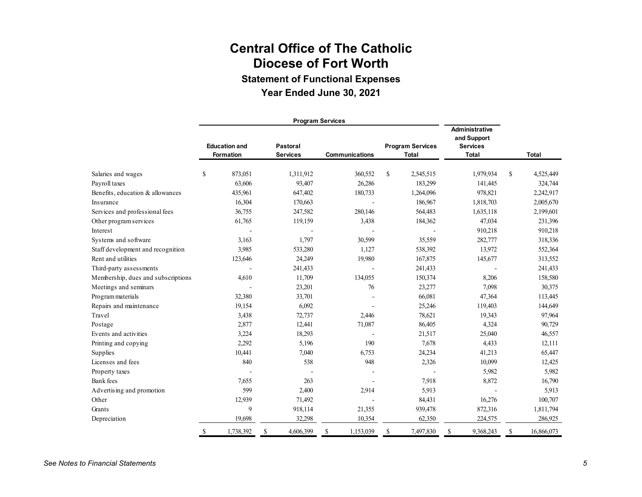**Statement of Functional Expenses**

## **Year Ended June 30, 2021**

|                                    | <b>Program Services</b> |                                          |                             |           |                       |    |                                         |                                                                         |  |              |            |
|------------------------------------|-------------------------|------------------------------------------|-----------------------------|-----------|-----------------------|----|-----------------------------------------|-------------------------------------------------------------------------|--|--------------|------------|
|                                    |                         | <b>Education and</b><br><b>Formation</b> | Pastoral<br><b>Services</b> |           | <b>Communications</b> |    | <b>Program Services</b><br><b>Total</b> | <b>Administrative</b><br>and Support<br><b>Services</b><br><b>Total</b> |  | <b>Total</b> |            |
| Salaries and wages                 | \$                      | 873,051                                  |                             | 1,311,912 | 360,552               | S. | 2,545,515                               | 1,979,934                                                               |  | $\mathbf S$  | 4,525,449  |
| Payroll taxes                      |                         | 63,606                                   |                             | 93,407    | 26,286                |    | 183,299                                 | 141,445                                                                 |  |              | 324,744    |
| Benefits, education & allowances   |                         | 435,961                                  |                             | 647,402   | 180,733               |    | 1,264,096                               | 978,821                                                                 |  |              | 2,242,917  |
| Insurance                          |                         | 16,304                                   |                             | 170,663   |                       |    | 186,967                                 | 1,818,703                                                               |  |              | 2,005,670  |
| Services and professional fees     |                         | 36,755                                   |                             | 247,582   | 280,146               |    | 564,483                                 | 1,635,118                                                               |  |              | 2,199,601  |
| Other program services             |                         | 61,765                                   |                             | 119,159   | 3,438                 |    | 184,362                                 | 47,034                                                                  |  |              | 231,396    |
| Interest                           |                         |                                          |                             |           |                       |    |                                         | 910,218                                                                 |  |              | 910,218    |
| Systems and software               |                         | 3,163                                    |                             | 1,797     | 30,599                |    | 35,559                                  | 282,777                                                                 |  |              | 318,336    |
| Staff development and recognition  |                         | 3,985                                    |                             | 533,280   | 1,127                 |    | 538,392                                 | 13,972                                                                  |  |              | 552,364    |
| Rent and utilities                 |                         | 123,646                                  |                             | 24,249    | 19,980                |    | 167,875                                 | 145,677                                                                 |  |              | 313,552    |
| Third-party assessments            |                         |                                          |                             | 241,433   |                       |    | 241,433                                 |                                                                         |  |              | 241,433    |
| Membership, dues and subscriptions |                         | 4,610                                    |                             | 11,709    | 134,055               |    | 150,374                                 | 8,206                                                                   |  |              | 158,580    |
| Meetings and seminars              |                         |                                          |                             | 23,201    | 76                    |    | 23,277                                  | 7,098                                                                   |  |              | 30,375     |
| Program materials                  |                         | 32,380                                   |                             | 33,701    |                       |    | 66,081                                  | 47,364                                                                  |  |              | 113,445    |
| Repairs and maintenance            |                         | 19,154                                   |                             | 6,092     |                       |    | 25,246                                  | 119,403                                                                 |  |              | 144,649    |
| Travel                             |                         | 3,438                                    |                             | 72,737    | 2,446                 |    | 78,621                                  | 19,343                                                                  |  |              | 97,964     |
| Postage                            |                         | 2,877                                    |                             | 12,441    | 71,087                |    | 86,405                                  | 4,324                                                                   |  |              | 90,729     |
| Events and activities              |                         | 3,224                                    |                             | 18,293    |                       |    | 21,517                                  | 25,040                                                                  |  |              | 46,557     |
| Printing and copying               |                         | 2,292                                    |                             | 5,196     | 190                   |    | 7,678                                   | 4,433                                                                   |  |              | 12,111     |
| Supplies                           |                         | 10,441                                   |                             | 7,040     | 6,753                 |    | 24,234                                  | 41,213                                                                  |  |              | 65,447     |
| Licenses and fees                  |                         | 840                                      |                             | 538       | 948                   |    | 2,326                                   | 10,099                                                                  |  |              | 12,425     |
| Property taxes                     |                         |                                          |                             |           |                       |    |                                         | 5,982                                                                   |  |              | 5,982      |
| Bank fees                          |                         | 7,655                                    |                             | 263       |                       |    | 7,918                                   | 8,872                                                                   |  |              | 16,790     |
| Advertising and promotion          |                         | 599                                      |                             | 2,400     | 2,914                 |    | 5,913                                   |                                                                         |  |              | 5,913      |
| Other                              |                         | 12,939                                   |                             | 71,492    |                       |    | 84,431                                  | 16,276                                                                  |  |              | 100,707    |
| Grants                             |                         | 9                                        |                             | 918,114   | 21,355                |    | 939,478                                 | 872,316                                                                 |  |              | 1,811,794  |
| Depreciation                       |                         | 19,698                                   |                             | 32,298    | 10,354                |    | 62,350                                  | 224,575                                                                 |  |              | 286,925    |
|                                    | \$                      | 1,738,392                                | \$                          | 4,606,399 | \$<br>1,153,039       | \$ | 7,497,830                               | 9,368,243<br>\$                                                         |  | \$           | 16,866,073 |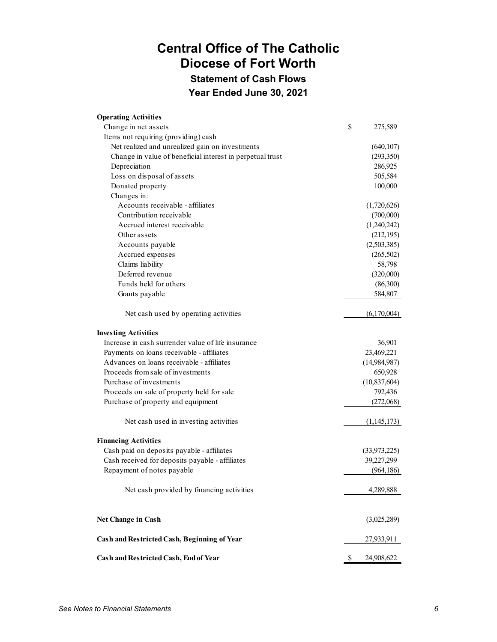**Statement of Cash Flows**

**Year Ended June 30, 2021**

| <b>Operating Activities</b>                               |                  |
|-----------------------------------------------------------|------------------|
| Change in net assets                                      | \$<br>275,589    |
| Items not requiring (providing) cash                      |                  |
| Net realized and unrealized gain on investments           | (640, 107)       |
| Change in value of beneficial interest in perpetual trust | (293,350)        |
| Depreciation                                              | 286,925          |
| Loss on disposal of assets                                | 505,584          |
| Donated property                                          | 100,000          |
| Changes in:                                               |                  |
| Accounts receivable - affiliates                          | (1,720,626)      |
| Contribution receivable                                   | (700,000)        |
| Accrued interest receivable                               | (1,240,242)      |
| Other assets                                              | (212, 195)       |
| Accounts payable                                          | (2,503,385)      |
| Accrued expenses                                          | (265, 502)       |
| Claims liability                                          | 58,798           |
| Deferred revenue                                          | (320,000)        |
| Funds held for others                                     | (86,300)         |
| Grants payable                                            | 584,807          |
| Net cash used by operating activities                     | (6,170,004)      |
| <b>Investing Activities</b>                               |                  |
| Increase in cash surrender value of life insurance        | 36,901           |
| Payments on loans receivable - affiliates                 | 23,469,221       |
| Advances on loans receivable - affiliates                 | (14,984,987)     |
| Proceeds from sale of investments                         | 650,928          |
| Purchase of investments                                   | (10, 837, 604)   |
| Proceeds on sale of property held for sale                | 792,436          |
| Purchase of property and equipment                        | (272,068)        |
| Net cash used in investing activities                     | (1,145,173)      |
| <b>Financing Activities</b>                               |                  |
| Cash paid on deposits payable - affiliates                | (33, 973, 225)   |
| Cash received for deposits payable - affiliates           | 39,227,299       |
| Repayment of notes payable                                | (964, 186)       |
| Net cash provided by financing activities                 | 4,289,888        |
| <b>Net Change in Cash</b>                                 | (3,025,289)      |
| Cash and Restricted Cash, Beginning of Year               | 27,933,911       |
| Cash and Restricted Cash, End of Year                     | \$<br>24,908,622 |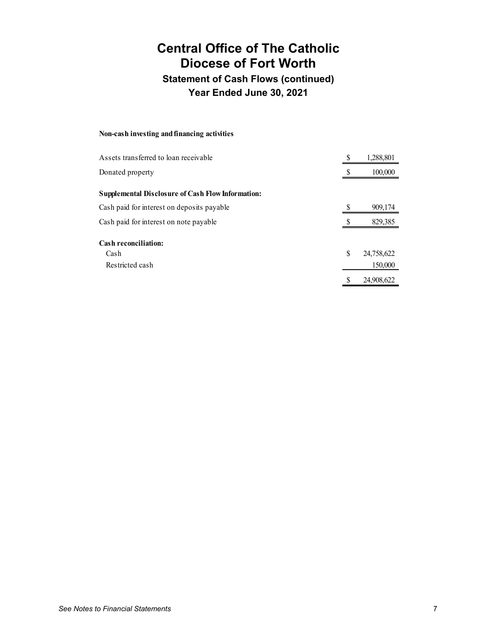## **Central Office of The Catholic Diocese of Fort Worth Statement of Cash Flows (continued)**

**Year Ended June 30, 2021**

#### **Non-cash investing and financing activities**

| Assets transferred to loan receivable                    |    | 1,288,801  |
|----------------------------------------------------------|----|------------|
| Donated property                                         |    | 100,000    |
| <b>Supplemental Disclosure of Cash Flow Information:</b> |    |            |
| Cash paid for interest on deposits payable               |    | 909,174    |
| Cash paid for interest on note payable                   |    | 829,385    |
| <b>Cash reconciliation:</b>                              |    |            |
| Cash                                                     | \$ | 24,758,622 |
| Restricted cash                                          |    | 150,000    |
|                                                          | S  | 24,908,622 |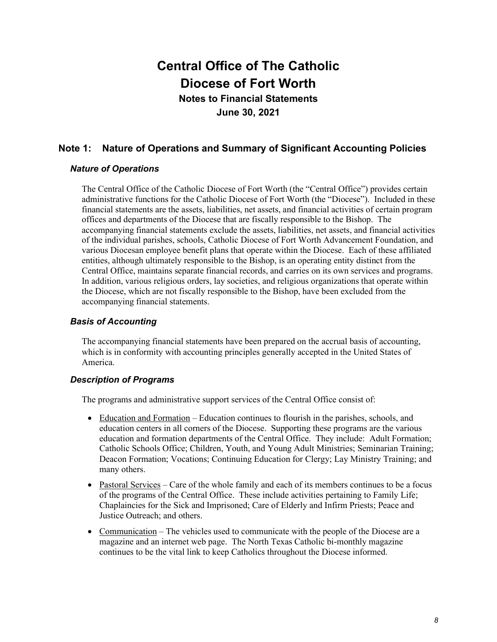**Notes to Financial Statements June 30, 2021**

## **Note 1: Nature of Operations and Summary of Significant Accounting Policies**

### *Nature of Operations*

The Central Office of the Catholic Diocese of Fort Worth (the "Central Office") provides certain administrative functions for the Catholic Diocese of Fort Worth (the "Diocese"). Included in these financial statements are the assets, liabilities, net assets, and financial activities of certain program offices and departments of the Diocese that are fiscally responsible to the Bishop. The accompanying financial statements exclude the assets, liabilities, net assets, and financial activities of the individual parishes, schools, Catholic Diocese of Fort Worth Advancement Foundation, and various Diocesan employee benefit plans that operate within the Diocese. Each of these affiliated entities, although ultimately responsible to the Bishop, is an operating entity distinct from the Central Office, maintains separate financial records, and carries on its own services and programs. In addition, various religious orders, lay societies, and religious organizations that operate within the Diocese, which are not fiscally responsible to the Bishop, have been excluded from the accompanying financial statements.

### *Basis of Accounting*

The accompanying financial statements have been prepared on the accrual basis of accounting, which is in conformity with accounting principles generally accepted in the United States of America.

### *Description of Programs*

The programs and administrative support services of the Central Office consist of:

- Education and Formation Education continues to flourish in the parishes, schools, and education centers in all corners of the Diocese. Supporting these programs are the various education and formation departments of the Central Office. They include: Adult Formation; Catholic Schools Office; Children, Youth, and Young Adult Ministries; Seminarian Training; Deacon Formation; Vocations; Continuing Education for Clergy; Lay Ministry Training; and many others.
- Pastoral Services Care of the whole family and each of its members continues to be a focus of the programs of the Central Office. These include activities pertaining to Family Life; Chaplaincies for the Sick and Imprisoned; Care of Elderly and Infirm Priests; Peace and Justice Outreach; and others.
- Communication The vehicles used to communicate with the people of the Diocese are a magazine and an internet web page. The North Texas Catholic bi-monthly magazine continues to be the vital link to keep Catholics throughout the Diocese informed.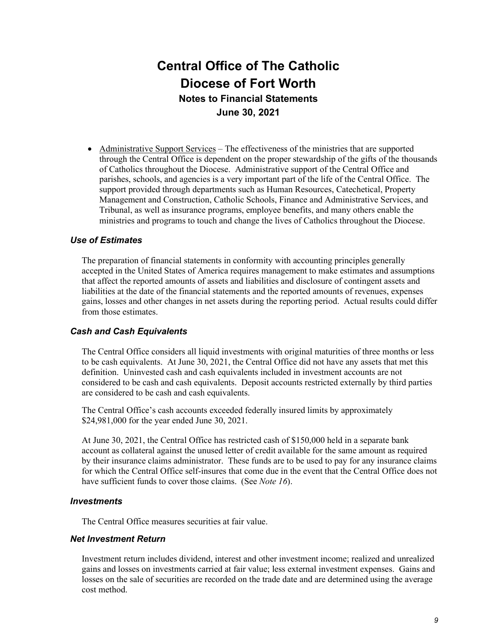• Administrative Support Services – The effectiveness of the ministries that are supported through the Central Office is dependent on the proper stewardship of the gifts of the thousands of Catholics throughout the Diocese. Administrative support of the Central Office and parishes, schools, and agencies is a very important part of the life of the Central Office. The support provided through departments such as Human Resources, Catechetical, Property Management and Construction, Catholic Schools, Finance and Administrative Services, and Tribunal, as well as insurance programs, employee benefits, and many others enable the ministries and programs to touch and change the lives of Catholics throughout the Diocese.

### *Use of Estimates*

The preparation of financial statements in conformity with accounting principles generally accepted in the United States of America requires management to make estimates and assumptions that affect the reported amounts of assets and liabilities and disclosure of contingent assets and liabilities at the date of the financial statements and the reported amounts of revenues, expenses gains, losses and other changes in net assets during the reporting period. Actual results could differ from those estimates.

### *Cash and Cash Equivalents*

The Central Office considers all liquid investments with original maturities of three months or less to be cash equivalents. At June 30, 2021, the Central Office did not have any assets that met this definition. Uninvested cash and cash equivalents included in investment accounts are not considered to be cash and cash equivalents. Deposit accounts restricted externally by third parties are considered to be cash and cash equivalents.

The Central Office's cash accounts exceeded federally insured limits by approximately \$24,981,000 for the year ended June 30, 2021.

At June 30, 2021, the Central Office has restricted cash of \$150,000 held in a separate bank account as collateral against the unused letter of credit available for the same amount as required by their insurance claims administrator. These funds are to be used to pay for any insurance claims for which the Central Office self-insures that come due in the event that the Central Office does not have sufficient funds to cover those claims. (See *Note 16*).

#### *Investments*

The Central Office measures securities at fair value.

#### *Net Investment Return*

Investment return includes dividend, interest and other investment income; realized and unrealized gains and losses on investments carried at fair value; less external investment expenses. Gains and losses on the sale of securities are recorded on the trade date and are determined using the average cost method.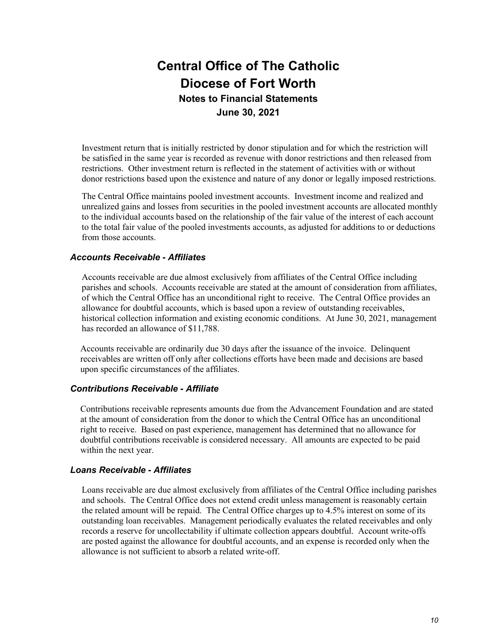Investment return that is initially restricted by donor stipulation and for which the restriction will be satisfied in the same year is recorded as revenue with donor restrictions and then released from restrictions. Other investment return is reflected in the statement of activities with or without donor restrictions based upon the existence and nature of any donor or legally imposed restrictions.

The Central Office maintains pooled investment accounts. Investment income and realized and unrealized gains and losses from securities in the pooled investment accounts are allocated monthly to the individual accounts based on the relationship of the fair value of the interest of each account to the total fair value of the pooled investments accounts, as adjusted for additions to or deductions from those accounts.

### *Accounts Receivable - Affiliates*

Accounts receivable are due almost exclusively from affiliates of the Central Office including parishes and schools. Accounts receivable are stated at the amount of consideration from affiliates, of which the Central Office has an unconditional right to receive. The Central Office provides an allowance for doubtful accounts, which is based upon a review of outstanding receivables, historical collection information and existing economic conditions. At June 30, 2021, management has recorded an allowance of \$11,788.

Accounts receivable are ordinarily due 30 days after the issuance of the invoice. Delinquent receivables are written off only after collections efforts have been made and decisions are based upon specific circumstances of the affiliates.

### *Contributions Receivable - Affiliate*

Contributions receivable represents amounts due from the Advancement Foundation and are stated at the amount of consideration from the donor to which the Central Office has an unconditional right to receive. Based on past experience, management has determined that no allowance for doubtful contributions receivable is considered necessary. All amounts are expected to be paid within the next year.

### *Loans Receivable - Affiliates*

Loans receivable are due almost exclusively from affiliates of the Central Office including parishes and schools. The Central Office does not extend credit unless management is reasonably certain the related amount will be repaid. The Central Office charges up to 4.5% interest on some of its outstanding loan receivables. Management periodically evaluates the related receivables and only records a reserve for uncollectability if ultimate collection appears doubtful. Account write-offs are posted against the allowance for doubtful accounts, and an expense is recorded only when the allowance is not sufficient to absorb a related write-off.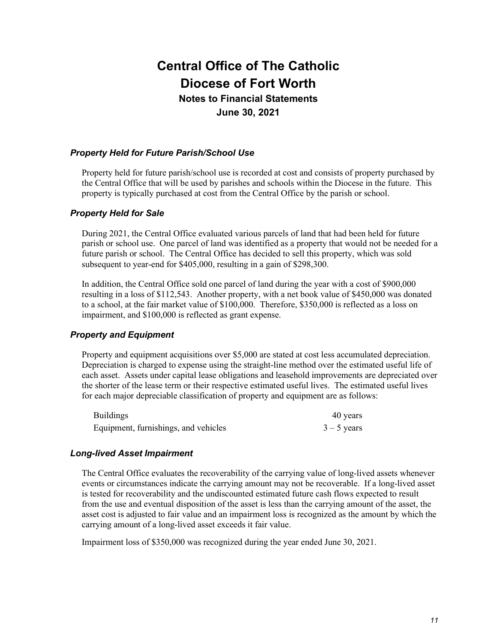### **Notes to Financial Statements June 30, 2021**

### *Property Held for Future Parish/School Use*

Property held for future parish/school use is recorded at cost and consists of property purchased by the Central Office that will be used by parishes and schools within the Diocese in the future. This property is typically purchased at cost from the Central Office by the parish or school.

### *Property Held for Sale*

During 2021, the Central Office evaluated various parcels of land that had been held for future parish or school use. One parcel of land was identified as a property that would not be needed for a future parish or school. The Central Office has decided to sell this property, which was sold subsequent to year-end for \$405,000, resulting in a gain of \$298,300.

In addition, the Central Office sold one parcel of land during the year with a cost of \$900,000 resulting in a loss of \$112,543. Another property, with a net book value of \$450,000 was donated to a school, at the fair market value of \$100,000. Therefore, \$350,000 is reflected as a loss on impairment, and \$100,000 is reflected as grant expense.

### *Property and Equipment*

Property and equipment acquisitions over \$5,000 are stated at cost less accumulated depreciation. Depreciation is charged to expense using the straight-line method over the estimated useful life of each asset. Assets under capital lease obligations and leasehold improvements are depreciated over the shorter of the lease term or their respective estimated useful lives. The estimated useful lives for each major depreciable classification of property and equipment are as follows:

| <b>Buildings</b>                     | 40 years      |
|--------------------------------------|---------------|
| Equipment, furnishings, and vehicles | $3 - 5$ years |

### *Long-lived Asset Impairment*

The Central Office evaluates the recoverability of the carrying value of long-lived assets whenever events or circumstances indicate the carrying amount may not be recoverable. If a long-lived asset is tested for recoverability and the undiscounted estimated future cash flows expected to result from the use and eventual disposition of the asset is less than the carrying amount of the asset, the asset cost is adjusted to fair value and an impairment loss is recognized as the amount by which the carrying amount of a long-lived asset exceeds it fair value.

Impairment loss of \$350,000 was recognized during the year ended June 30, 2021.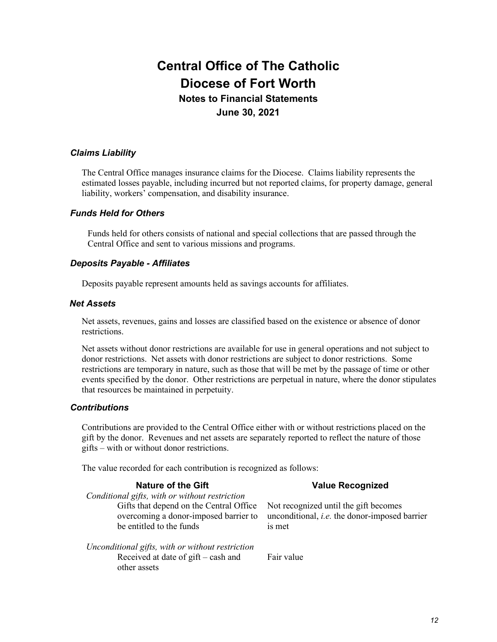## **June 30, 2021**

### *Claims Liability*

The Central Office manages insurance claims for the Diocese. Claims liability represents the estimated losses payable, including incurred but not reported claims, for property damage, general liability, workers' compensation, and disability insurance.

### *Funds Held for Others*

Funds held for others consists of national and special collections that are passed through the Central Office and sent to various missions and programs.

### *Deposits Payable - Affiliates*

other assets

Deposits payable represent amounts held as savings accounts for affiliates.

### *Net Assets*

Net assets, revenues, gains and losses are classified based on the existence or absence of donor restrictions.

Net assets without donor restrictions are available for use in general operations and not subject to donor restrictions. Net assets with donor restrictions are subject to donor restrictions. Some restrictions are temporary in nature, such as those that will be met by the passage of time or other events specified by the donor. Other restrictions are perpetual in nature, where the donor stipulates that resources be maintained in perpetuity.

### *Contributions*

Contributions are provided to the Central Office either with or without restrictions placed on the gift by the donor. Revenues and net assets are separately reported to reflect the nature of those gifts – with or without donor restrictions.

The value recorded for each contribution is recognized as follows:

| <b>Nature of the Gift</b>                                                                                                                                      | <b>Value Recognized</b>                                                                                 |
|----------------------------------------------------------------------------------------------------------------------------------------------------------------|---------------------------------------------------------------------------------------------------------|
| Conditional gifts, with or without restriction<br>Gifts that depend on the Central Office<br>overcoming a donor-imposed barrier to<br>be entitled to the funds | Not recognized until the gift becomes<br>unconditional, <i>i.e.</i> the donor-imposed barrier<br>is met |
| Unconditional gifts, with or without restriction<br>Received at date of gift – cash and                                                                        | Fair value                                                                                              |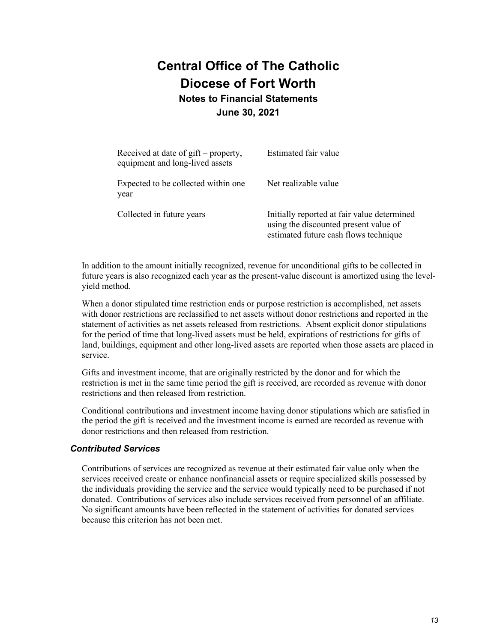**June 30, 2021**

| Received at date of $g$ ift – property,<br>equipment and long-lived assets | Estimated fair value                                                                                                          |
|----------------------------------------------------------------------------|-------------------------------------------------------------------------------------------------------------------------------|
| Expected to be collected within one<br>year                                | Net realizable value                                                                                                          |
| Collected in future years                                                  | Initially reported at fair value determined<br>using the discounted present value of<br>estimated future cash flows technique |

In addition to the amount initially recognized, revenue for unconditional gifts to be collected in future years is also recognized each year as the present-value discount is amortized using the levelyield method.

When a donor stipulated time restriction ends or purpose restriction is accomplished, net assets with donor restrictions are reclassified to net assets without donor restrictions and reported in the statement of activities as net assets released from restrictions. Absent explicit donor stipulations for the period of time that long-lived assets must be held, expirations of restrictions for gifts of land, buildings, equipment and other long-lived assets are reported when those assets are placed in service.

Gifts and investment income, that are originally restricted by the donor and for which the restriction is met in the same time period the gift is received, are recorded as revenue with donor restrictions and then released from restriction.

Conditional contributions and investment income having donor stipulations which are satisfied in the period the gift is received and the investment income is earned are recorded as revenue with donor restrictions and then released from restriction.

### *Contributed Services*

Contributions of services are recognized as revenue at their estimated fair value only when the services received create or enhance nonfinancial assets or require specialized skills possessed by the individuals providing the service and the service would typically need to be purchased if not donated. Contributions of services also include services received from personnel of an affiliate. No significant amounts have been reflected in the statement of activities for donated services because this criterion has not been met.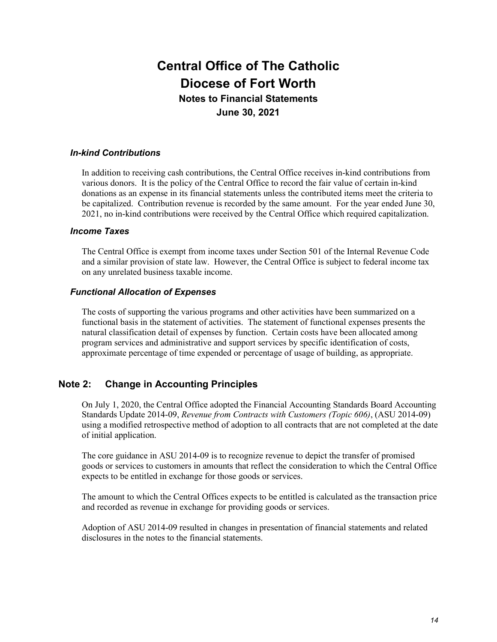### **June 30, 2021**

### *In-kind Contributions*

In addition to receiving cash contributions, the Central Office receives in-kind contributions from various donors. It is the policy of the Central Office to record the fair value of certain in-kind donations as an expense in its financial statements unless the contributed items meet the criteria to be capitalized. Contribution revenue is recorded by the same amount. For the year ended June 30, 2021, no in-kind contributions were received by the Central Office which required capitalization.

### *Income Taxes*

The Central Office is exempt from income taxes under Section 501 of the Internal Revenue Code and a similar provision of state law. However, the Central Office is subject to federal income tax on any unrelated business taxable income.

### *Functional Allocation of Expenses*

The costs of supporting the various programs and other activities have been summarized on a functional basis in the statement of activities. The statement of functional expenses presents the natural classification detail of expenses by function. Certain costs have been allocated among program services and administrative and support services by specific identification of costs, approximate percentage of time expended or percentage of usage of building, as appropriate.

### **Note 2: Change in Accounting Principles**

On July 1, 2020, the Central Office adopted the Financial Accounting Standards Board Accounting Standards Update 2014-09, *Revenue from Contracts with Customers (Topic 606)*, (ASU 2014-09) using a modified retrospective method of adoption to all contracts that are not completed at the date of initial application.

The core guidance in ASU 2014-09 is to recognize revenue to depict the transfer of promised goods or services to customers in amounts that reflect the consideration to which the Central Office expects to be entitled in exchange for those goods or services.

The amount to which the Central Offices expects to be entitled is calculated as the transaction price and recorded as revenue in exchange for providing goods or services.

Adoption of ASU 2014-09 resulted in changes in presentation of financial statements and related disclosures in the notes to the financial statements.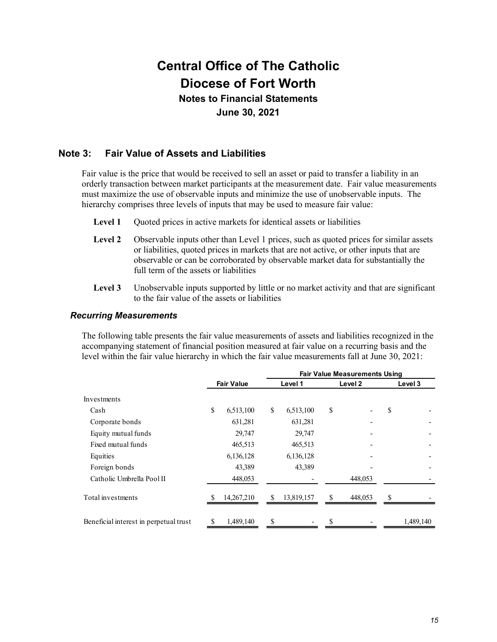### **Notes to Financial Statements June 30, 2021**

### **Note 3: Fair Value of Assets and Liabilities**

Fair value is the price that would be received to sell an asset or paid to transfer a liability in an orderly transaction between market participants at the measurement date. Fair value measurements must maximize the use of observable inputs and minimize the use of unobservable inputs. The hierarchy comprises three levels of inputs that may be used to measure fair value:

- **Level 1** Quoted prices in active markets for identical assets or liabilities
- Level 2 Observable inputs other than Level 1 prices, such as quoted prices for similar assets or liabilities, quoted prices in markets that are not active, or other inputs that are observable or can be corroborated by observable market data for substantially the full term of the assets or liabilities
- Level 3 Unobservable inputs supported by little or no market activity and that are significant to the fair value of the assets or liabilities

### *Recurring Measurements*

The following table presents the fair value measurements of assets and liabilities recognized in the accompanying statement of financial position measured at fair value on a recurring basis and the level within the fair value hierarchy in which the fair value measurements fall at June 30, 2021:

|                                        |    |                   |    | <b>Fair Value Measurements Using</b> |    |         |         |           |  |  |  |  |
|----------------------------------------|----|-------------------|----|--------------------------------------|----|---------|---------|-----------|--|--|--|--|
| Investments                            |    | <b>Fair Value</b> |    | Level 1                              |    | Level 2 | Level 3 |           |  |  |  |  |
|                                        |    |                   |    |                                      |    |         |         |           |  |  |  |  |
| Cash                                   | \$ | 6,513,100         | \$ | 6,513,100                            | \$ |         | \$      |           |  |  |  |  |
| Corporate bonds                        |    | 631,281           |    | 631,281                              |    |         |         |           |  |  |  |  |
| Equity mutual funds                    |    | 29,747            |    | 29,747                               |    |         |         |           |  |  |  |  |
| Fixed mutual funds                     |    | 465,513           |    | 465,513                              |    |         |         |           |  |  |  |  |
| Equities                               |    | 6,136,128         |    | 6,136,128                            |    |         |         |           |  |  |  |  |
| Foreign bonds                          |    | 43,389            |    | 43,389                               |    |         |         |           |  |  |  |  |
| Catholic Umbrella Pool II              |    | 448,053           |    |                                      |    | 448,053 |         |           |  |  |  |  |
| Total investments                      |    | 14,267,210        | \$ | 13,819,157                           | \$ | 448,053 | \$      |           |  |  |  |  |
| Beneficial interest in perpetual trust |    | 1,489,140         | \$ |                                      |    |         |         | 1,489,140 |  |  |  |  |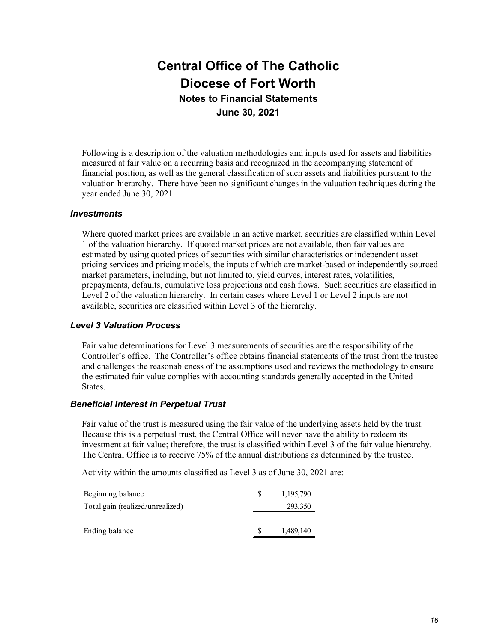Following is a description of the valuation methodologies and inputs used for assets and liabilities measured at fair value on a recurring basis and recognized in the accompanying statement of financial position, as well as the general classification of such assets and liabilities pursuant to the valuation hierarchy. There have been no significant changes in the valuation techniques during the year ended June 30, 2021.

### *Investments*

Where quoted market prices are available in an active market, securities are classified within Level 1 of the valuation hierarchy. If quoted market prices are not available, then fair values are estimated by using quoted prices of securities with similar characteristics or independent asset pricing services and pricing models, the inputs of which are market-based or independently sourced market parameters, including, but not limited to, yield curves, interest rates, volatilities, prepayments, defaults, cumulative loss projections and cash flows. Such securities are classified in Level 2 of the valuation hierarchy. In certain cases where Level 1 or Level 2 inputs are not available, securities are classified within Level 3 of the hierarchy.

### *Level 3 Valuation Process*

Fair value determinations for Level 3 measurements of securities are the responsibility of the Controller's office. The Controller's office obtains financial statements of the trust from the trustee and challenges the reasonableness of the assumptions used and reviews the methodology to ensure the estimated fair value complies with accounting standards generally accepted in the United States.

### *Beneficial Interest in Perpetual Trust*

Fair value of the trust is measured using the fair value of the underlying assets held by the trust. Because this is a perpetual trust, the Central Office will never have the ability to redeem its investment at fair value; therefore, the trust is classified within Level 3 of the fair value hierarchy. The Central Office is to receive 75% of the annual distributions as determined by the trustee.

Activity within the amounts classified as Level 3 as of June 30, 2021 are:

| Beginning balance                | S | 1,195,790 |
|----------------------------------|---|-----------|
| Total gain (realized/unrealized) |   | 293,350   |
|                                  |   |           |
| Ending balance                   | S | 1,489,140 |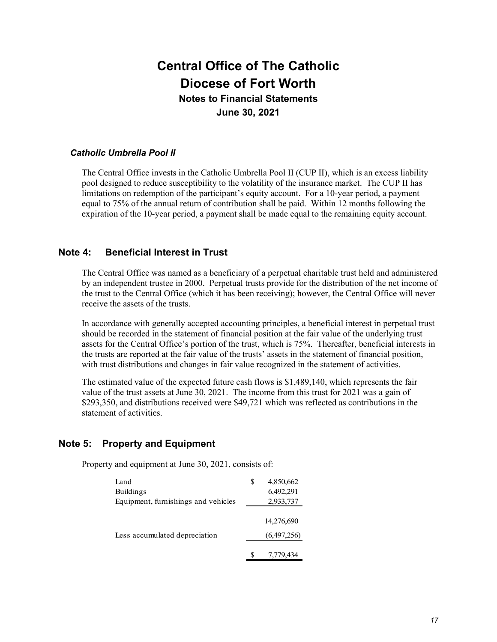### *Catholic Umbrella Pool II*

The Central Office invests in the Catholic Umbrella Pool II (CUP II), which is an excess liability pool designed to reduce susceptibility to the volatility of the insurance market. The CUP II has limitations on redemption of the participant's equity account. For a 10-year period, a payment equal to 75% of the annual return of contribution shall be paid. Within 12 months following the expiration of the 10-year period, a payment shall be made equal to the remaining equity account.

### **Note 4: Beneficial Interest in Trust**

The Central Office was named as a beneficiary of a perpetual charitable trust held and administered by an independent trustee in 2000. Perpetual trusts provide for the distribution of the net income of the trust to the Central Office (which it has been receiving); however, the Central Office will never receive the assets of the trusts.

In accordance with generally accepted accounting principles, a beneficial interest in perpetual trust should be recorded in the statement of financial position at the fair value of the underlying trust assets for the Central Office's portion of the trust, which is 75%. Thereafter, beneficial interests in the trusts are reported at the fair value of the trusts' assets in the statement of financial position, with trust distributions and changes in fair value recognized in the statement of activities.

The estimated value of the expected future cash flows is \$1,489,140, which represents the fair value of the trust assets at June 30, 2021. The income from this trust for 2021 was a gain of \$293,350, and distributions received were \$49,721 which was reflected as contributions in the statement of activities.

### **Note 5: Property and Equipment**

Property and equipment at June 30, 2021, consists of:

| Land                                | S | 4,850,662   |
|-------------------------------------|---|-------------|
| <b>Buildings</b>                    |   | 6,492,291   |
| Equipment, furnishings and vehicles |   | 2,933,737   |
|                                     |   |             |
|                                     |   | 14,276,690  |
| Less accumulated depreciation       |   | (6,497,256) |
|                                     |   |             |
|                                     |   | 7,779,434   |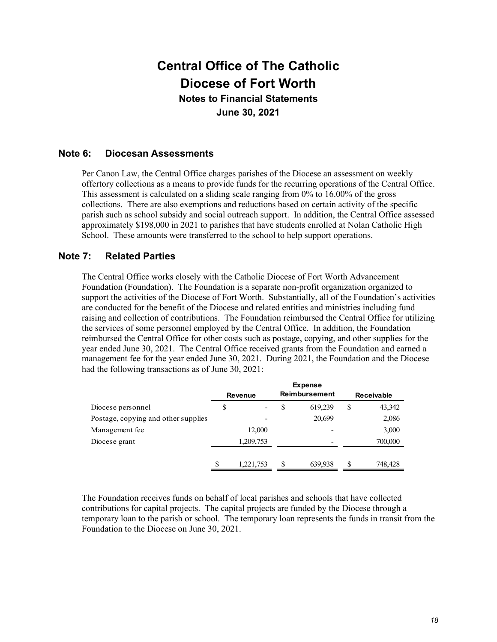**June 30, 2021**

### **Note 6: Diocesan Assessments**

Per Canon Law, the Central Office charges parishes of the Diocese an assessment on weekly offertory collections as a means to provide funds for the recurring operations of the Central Office. This assessment is calculated on a sliding scale ranging from 0% to 16.00% of the gross collections. There are also exemptions and reductions based on certain activity of the specific parish such as school subsidy and social outreach support. In addition, the Central Office assessed approximately \$198,000 in 2021 to parishes that have students enrolled at Nolan Catholic High School. These amounts were transferred to the school to help support operations.

### **Note 7: Related Parties**

The Central Office works closely with the Catholic Diocese of Fort Worth Advancement Foundation (Foundation). The Foundation is a separate non-profit organization organized to support the activities of the Diocese of Fort Worth. Substantially, all of the Foundation's activities are conducted for the benefit of the Diocese and related entities and ministries including fund raising and collection of contributions. The Foundation reimbursed the Central Office for utilizing the services of some personnel employed by the Central Office. In addition, the Foundation reimbursed the Central Office for other costs such as postage, copying, and other supplies for the year ended June 30, 2021. The Central Office received grants from the Foundation and earned a management fee for the year ended June 30, 2021. During 2021, the Foundation and the Diocese had the following transactions as of June 30, 2021:

|                                     | <b>Expense</b> |                |    |               |    |                   |
|-------------------------------------|----------------|----------------|----|---------------|----|-------------------|
|                                     |                | <b>Revenue</b> |    | Reimbursement |    | <b>Receivable</b> |
| Diocese personnel                   | \$             |                | \$ | 619,239       | \$ | 43,342            |
| Postage, copying and other supplies |                |                |    | 20,699        |    | 2,086             |
| Management fee                      |                | 12,000         |    |               |    | 3,000             |
| Diocese grant                       |                | 1,209,753      |    |               |    | 700,000           |
|                                     |                |                |    |               |    |                   |
|                                     | \$             | 1,221,753      | S  | 639,938       | S  | 748,428           |

The Foundation receives funds on behalf of local parishes and schools that have collected contributions for capital projects. The capital projects are funded by the Diocese through a temporary loan to the parish or school. The temporary loan represents the funds in transit from the Foundation to the Diocese on June 30, 2021.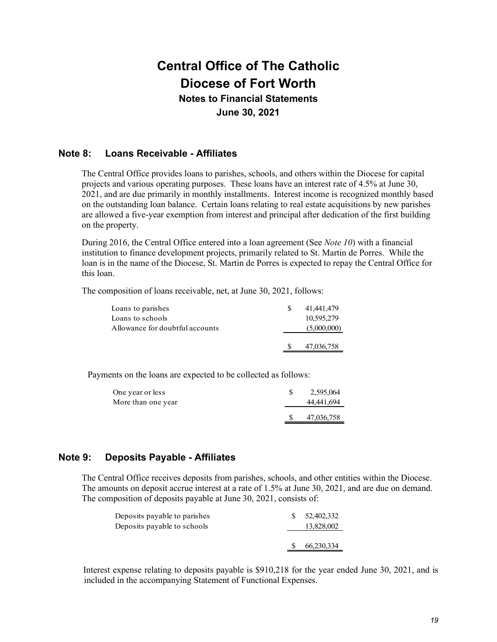### **Notes to Financial Statements June 30, 2021**

### **Note 8: Loans Receivable - Affiliates**

The Central Office provides loans to parishes, schools, and others within the Diocese for capital projects and various operating purposes. These loans have an interest rate of 4.5% at June 30, 2021, and are due primarily in monthly installments. Interest income is recognized monthly based on the outstanding loan balance. Certain loans relating to real estate acquisitions by new parishes are allowed a five-year exemption from interest and principal after dedication of the first building on the property.

During 2016, the Central Office entered into a loan agreement (See *Note 10*) with a financial institution to finance development projects, primarily related to St. Martin de Porres. While the loan is in the name of the Diocese, St. Martin de Porres is expected to repay the Central Office for this loan.

The composition of loans receivable, net, at June 30, 2021, follows:

| Loans to parishes               |  | 41,441,479  |
|---------------------------------|--|-------------|
| Loans to schools                |  | 10.595.279  |
| Allowance for doubtful accounts |  | (5,000,000) |
|                                 |  | 47,036,758  |

Payments on the loans are expected to be collected as follows:

| One year or less<br>More than one year | 2,595,064<br>44,441,694 |
|----------------------------------------|-------------------------|
|                                        | 47,036,758              |

### **Note 9: Deposits Payable - Affiliates**

The Central Office receives deposits from parishes, schools, and other entities within the Diocese. The amounts on deposit accrue interest at a rate of 1.5% at June 30, 2021, and are due on demand. The composition of deposits payable at June 30, 2021, consists of:

| Deposits payable to parishes<br>Deposits payable to schools | 52,402,332<br>13,828,002 |
|-------------------------------------------------------------|--------------------------|
|                                                             | 66,230,334               |

Interest expense relating to deposits payable is \$910,218 for the year ended June 30, 2021, and is included in the accompanying Statement of Functional Expenses.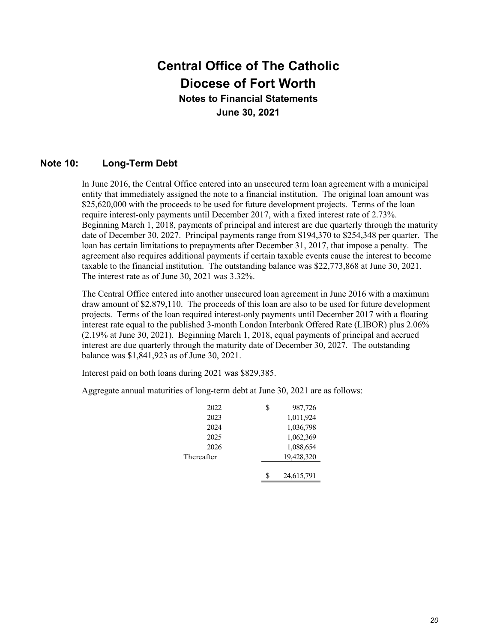**Notes to Financial Statements June 30, 2021**

## **Note 10: Long-Term Debt**

In June 2016, the Central Office entered into an unsecured term loan agreement with a municipal entity that immediately assigned the note to a financial institution. The original loan amount was \$25,620,000 with the proceeds to be used for future development projects. Terms of the loan require interest-only payments until December 2017, with a fixed interest rate of 2.73%. Beginning March 1, 2018, payments of principal and interest are due quarterly through the maturity date of December 30, 2027. Principal payments range from \$194,370 to \$254,348 per quarter. The loan has certain limitations to prepayments after December 31, 2017, that impose a penalty. The agreement also requires additional payments if certain taxable events cause the interest to become taxable to the financial institution. The outstanding balance was \$22,773,868 at June 30, 2021. The interest rate as of June 30, 2021 was 3.32%.

The Central Office entered into another unsecured loan agreement in June 2016 with a maximum draw amount of \$2,879,110. The proceeds of this loan are also to be used for future development projects. Terms of the loan required interest-only payments until December 2017 with a floating interest rate equal to the published 3-month London Interbank Offered Rate (LIBOR) plus 2.06% (2.19% at June 30, 2021). Beginning March 1, 2018, equal payments of principal and accrued interest are due quarterly through the maturity date of December 30, 2027. The outstanding balance was \$1,841,923 as of June 30, 2021.

Interest paid on both loans during 2021 was \$829,385.

Aggregate annual maturities of long-term debt at June 30, 2021 are as follows:

| 2022       | \$<br>987,726    |
|------------|------------------|
| 2023       | 1,011,924        |
| 2024       | 1,036,798        |
| 2025       | 1,062,369        |
| 2026       | 1,088,654        |
| Thereafter | 19,428,320       |
|            |                  |
|            | \$<br>24,615,791 |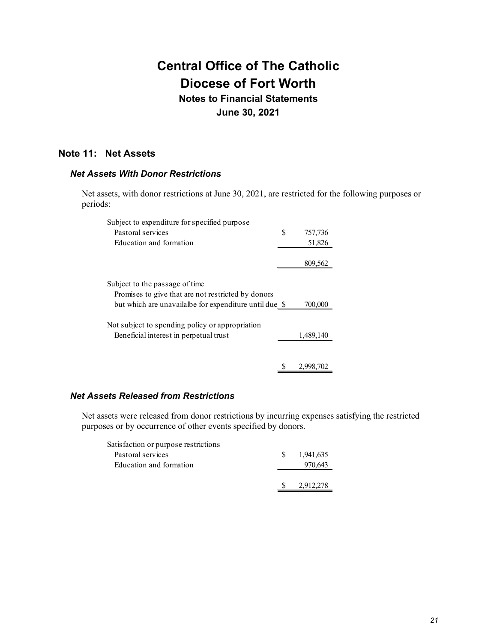## **Notes to Financial Statements June 30, 2021**

### **Note 11: Net Assets**

### *Net Assets With Donor Restrictions*

Net assets, with donor restrictions at June 30, 2021, are restricted for the following purposes or periods:

| Subject to expenditure for specified purpose           |               |
|--------------------------------------------------------|---------------|
| Pastoral services                                      | \$<br>757,736 |
| Education and formation                                | 51,826        |
|                                                        | 809,562       |
| Subject to the passage of time                         |               |
| Promises to give that are not restricted by donors     |               |
| but which are unavailalbe for expenditure until due \$ | 700,000       |
| Not subject to spending policy or appropriation        |               |
| Beneficial interest in perpetual trust                 | 1,489,140     |
|                                                        |               |
|                                                        | 2,998,702     |

### *Net Assets Released from Restrictions*

Net assets were released from donor restrictions by incurring expenses satisfying the restricted purposes or by occurrence of other events specified by donors.

| Satisfaction or purpose restrictions |    |           |
|--------------------------------------|----|-----------|
| Pastoral services                    | S. | 1,941,635 |
| Education and formation              |    | 970,643   |
|                                      |    |           |
|                                      |    | 2,912,278 |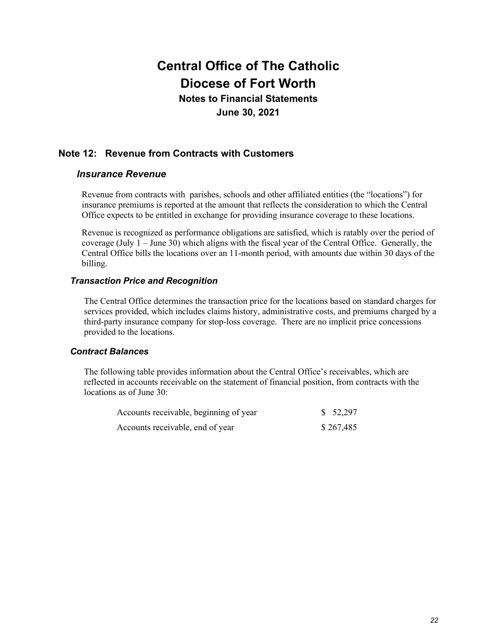## **Notes to Financial Statements June 30, 2021**

### **Note 12: Revenue from Contracts with Customers**

### *Insurance Revenue*

Revenue from contracts with parishes, schools and other affiliated entities (the "locations") for insurance premiums is reported at the amount that reflects the consideration to which the Central Office expects to be entitled in exchange for providing insurance coverage to these locations.

Revenue is recognized as performance obligations are satisfied, which is ratably over the period of coverage (July 1 – June 30) which aligns with the fiscal year of the Central Office. Generally, the Central Office bills the locations over an 11-month period, with amounts due within 30 days of the billing.

### *Transaction Price and Recognition*

The Central Office determines the transaction price for the locations based on standard charges for services provided, which includes claims history, administrative costs, and premiums charged by a third-party insurance company for stop-loss coverage. There are no implicit price concessions provided to the locations.

### *Contract Balances*

The following table provides information about the Central Office's receivables, which are reflected in accounts receivable on the statement of financial position, from contracts with the locations as of June 30:

| Accounts receivable, beginning of year | \$52,297  |
|----------------------------------------|-----------|
| Accounts receivable, end of year       | \$267,485 |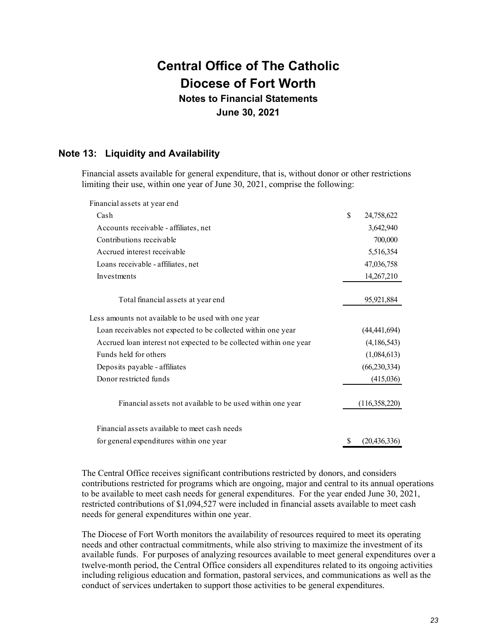## **Notes to Financial Statements June 30, 2021**

### **Note 13: Liquidity and Availability**

Financial assets available for general expenditure, that is, without donor or other restrictions limiting their use, within one year of June 30, 2021, comprise the following:

| Financial assets at year end                                       |    |                |
|--------------------------------------------------------------------|----|----------------|
| Cash                                                               | \$ | 24,758,622     |
| Accounts receivable - affiliates, net                              |    | 3,642,940      |
| Contributions receivable                                           |    | 700,000        |
| Accrued interest receivable                                        |    | 5,516,354      |
| Loans receivable - affiliates, net                                 |    | 47,036,758     |
| Investments                                                        |    | 14,267,210     |
| Total financial assets at year end                                 |    | 95,921,884     |
| Less amounts not available to be used with one year                |    |                |
| Loan receivables not expected to be collected within one year      |    | (44, 441, 694) |
| Accrued loan interest not expected to be collected within one year |    | (4,186,543)    |
| Funds held for others                                              |    | (1,084,613)    |
| Deposits payable - affiliates                                      |    | (66, 230, 334) |
| Donor restricted funds                                             |    | (415,036)      |
| Financial assets not available to be used within one year          |    | (116,358,220)  |
| Financial assets available to meet cash needs                      |    |                |
| for general expenditures within one year                           | S  | (20, 436, 336) |

The Central Office receives significant contributions restricted by donors, and considers contributions restricted for programs which are ongoing, major and central to its annual operations to be available to meet cash needs for general expenditures. For the year ended June 30, 2021, restricted contributions of \$1,094,527 were included in financial assets available to meet cash needs for general expenditures within one year.

The Diocese of Fort Worth monitors the availability of resources required to meet its operating needs and other contractual commitments, while also striving to maximize the investment of its available funds. For purposes of analyzing resources available to meet general expenditures over a twelve-month period, the Central Office considers all expenditures related to its ongoing activities including religious education and formation, pastoral services, and communications as well as the conduct of services undertaken to support those activities to be general expenditures.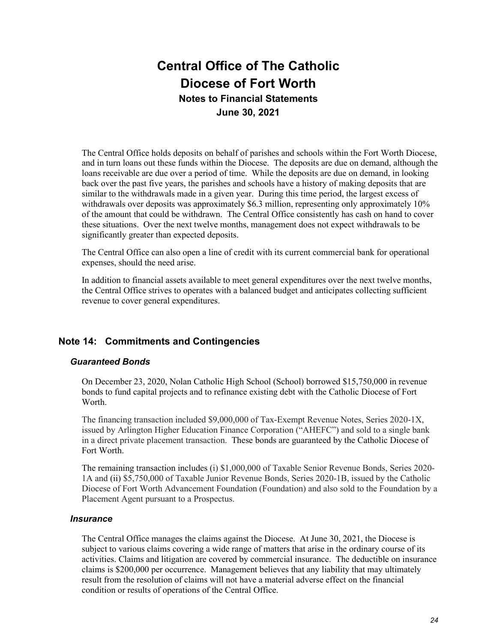The Central Office holds deposits on behalf of parishes and schools within the Fort Worth Diocese, and in turn loans out these funds within the Diocese. The deposits are due on demand, although the loans receivable are due over a period of time. While the deposits are due on demand, in looking back over the past five years, the parishes and schools have a history of making deposits that are similar to the withdrawals made in a given year. During this time period, the largest excess of withdrawals over deposits was approximately \$6.3 million, representing only approximately 10% of the amount that could be withdrawn. The Central Office consistently has cash on hand to cover these situations. Over the next twelve months, management does not expect withdrawals to be significantly greater than expected deposits.

The Central Office can also open a line of credit with its current commercial bank for operational expenses, should the need arise.

In addition to financial assets available to meet general expenditures over the next twelve months, the Central Office strives to operates with a balanced budget and anticipates collecting sufficient revenue to cover general expenditures.

### **Note 14: Commitments and Contingencies**

### *Guaranteed Bonds*

On December 23, 2020, Nolan Catholic High School (School) borrowed \$15,750,000 in revenue bonds to fund capital projects and to refinance existing debt with the Catholic Diocese of Fort Worth.

The financing transaction included \$9,000,000 of Tax-Exempt Revenue Notes, Series 2020-1X, issued by Arlington Higher Education Finance Corporation ("AHEFC") and sold to a single bank in a direct private placement transaction. These bonds are guaranteed by the Catholic Diocese of Fort Worth.

The remaining transaction includes (i) \$1,000,000 of Taxable Senior Revenue Bonds, Series 2020- 1A and (ii) \$5,750,000 of Taxable Junior Revenue Bonds, Series 2020-1B, issued by the Catholic Diocese of Fort Worth Advancement Foundation (Foundation) and also sold to the Foundation by a Placement Agent pursuant to a Prospectus.

### *Insurance*

The Central Office manages the claims against the Diocese. At June 30, 2021, the Diocese is subject to various claims covering a wide range of matters that arise in the ordinary course of its activities. Claims and litigation are covered by commercial insurance. The deductible on insurance claims is \$200,000 per occurrence. Management believes that any liability that may ultimately result from the resolution of claims will not have a material adverse effect on the financial condition or results of operations of the Central Office.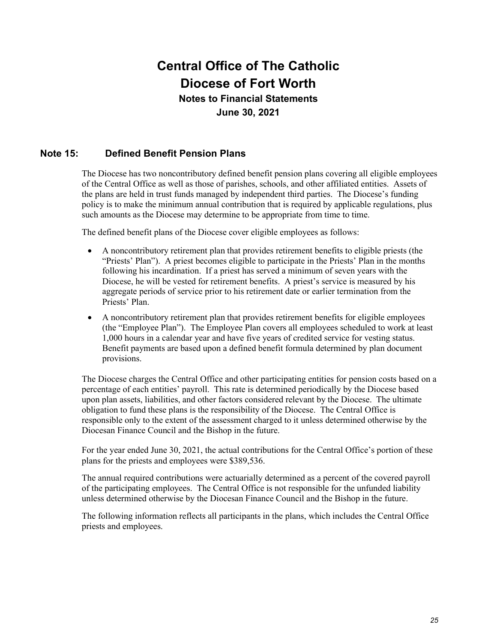**Notes to Financial Statements June 30, 2021**

## **Note 15: Defined Benefit Pension Plans**

The Diocese has two noncontributory defined benefit pension plans covering all eligible employees of the Central Office as well as those of parishes, schools, and other affiliated entities. Assets of the plans are held in trust funds managed by independent third parties. The Diocese's funding policy is to make the minimum annual contribution that is required by applicable regulations, plus such amounts as the Diocese may determine to be appropriate from time to time.

The defined benefit plans of the Diocese cover eligible employees as follows:

- A noncontributory retirement plan that provides retirement benefits to eligible priests (the "Priests' Plan"). A priest becomes eligible to participate in the Priests' Plan in the months following his incardination. If a priest has served a minimum of seven years with the Diocese, he will be vested for retirement benefits. A priest's service is measured by his aggregate periods of service prior to his retirement date or earlier termination from the Priests' Plan.
- A noncontributory retirement plan that provides retirement benefits for eligible employees (the "Employee Plan"). The Employee Plan covers all employees scheduled to work at least 1,000 hours in a calendar year and have five years of credited service for vesting status. Benefit payments are based upon a defined benefit formula determined by plan document provisions.

The Diocese charges the Central Office and other participating entities for pension costs based on a percentage of each entities' payroll. This rate is determined periodically by the Diocese based upon plan assets, liabilities, and other factors considered relevant by the Diocese. The ultimate obligation to fund these plans is the responsibility of the Diocese. The Central Office is responsible only to the extent of the assessment charged to it unless determined otherwise by the Diocesan Finance Council and the Bishop in the future.

For the year ended June 30, 2021, the actual contributions for the Central Office's portion of these plans for the priests and employees were \$389,536.

The annual required contributions were actuarially determined as a percent of the covered payroll of the participating employees. The Central Office is not responsible for the unfunded liability unless determined otherwise by the Diocesan Finance Council and the Bishop in the future.

The following information reflects all participants in the plans, which includes the Central Office priests and employees.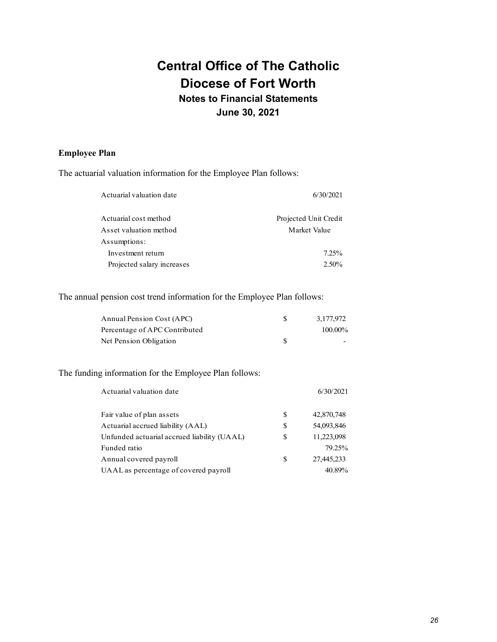## **Notes to Financial Statements June 30, 2021**

### **Employee Plan**

The actuarial valuation information for the Employee Plan follows:

| Actuarial valuation date   | 6/30/2021             |
|----------------------------|-----------------------|
| Actuarial cost method      | Projected Unit Credit |
| Asset valuation method     | Market Value          |
| Assumptions:               |                       |
| Investment return          | 7.25%                 |
| Projected salary increases | $2.50\%$              |
|                            |                       |

The annual pension cost trend information for the Employee Plan follows:

| <b>Annual Pension Cost (APC)</b> | -S | 3.177.972 |
|----------------------------------|----|-----------|
| Percentage of APC Contributed    |    | 100.00%   |
| Net Pension Obligation           |    |           |

### The funding information for the Employee Plan follows:

| Actuarial valuation date                    |    | 6/30/2021  |  |
|---------------------------------------------|----|------------|--|
| Fair value of plan assets                   | S  | 42,870,748 |  |
| Actuarial accrued liability (AAL)           | S  | 54,093,846 |  |
| Unfunded actuarial accrued liability (UAAL) | \$ | 11,223,098 |  |
| Funded ratio                                |    | 79.25%     |  |
| Annual covered payroll                      | S  | 27,445,233 |  |
| UAAL as percentage of covered payroll       |    | 40.89%     |  |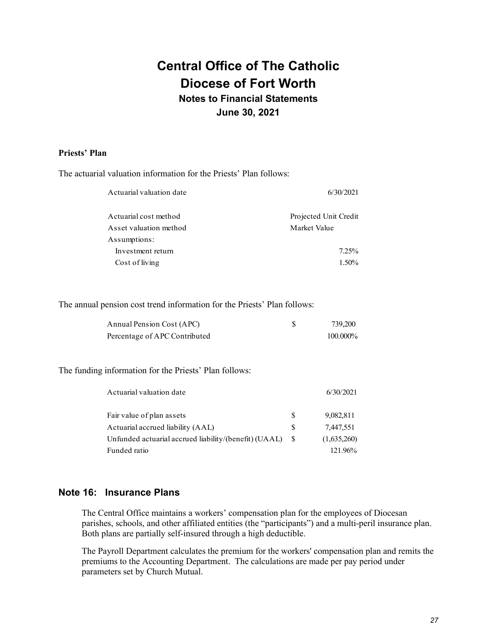## **Notes to Financial Statements June 30, 2021**

#### **Priests' Plan**

The actuarial valuation information for the Priests' Plan follows:

| Actuarial valuation date | 6/30/2021             |  |
|--------------------------|-----------------------|--|
| Actuarial cost method    | Projected Unit Credit |  |
| Asset valuation method   | Market Value          |  |
| Assumptions:             |                       |  |
| Investment return        | $7.25\%$              |  |
| Cost of living           | $1.50\%$              |  |

The annual pension cost trend information for the Priests' Plan follows:

| Annual Pension Cost (APC)     | 739.200  |
|-------------------------------|----------|
| Percentage of APC Contributed | 100.000% |

The funding information for the Priests' Plan follows:

| Actuarial valuation date                              |     | 6/30/2021   |  |
|-------------------------------------------------------|-----|-------------|--|
| Fair value of plan assets                             | S   | 9,082,811   |  |
| Actuarial accrued liability (AAL)                     | \$. | 7,447,551   |  |
| Unfunded actuarial accrued liability/(benefit) (UAAL) | - S | (1,635,260) |  |
| Funded ratio                                          |     | 121.96%     |  |

### **Note 16: Insurance Plans**

The Central Office maintains a workers' compensation plan for the employees of Diocesan parishes, schools, and other affiliated entities (the "participants") and a multi-peril insurance plan. Both plans are partially self-insured through a high deductible.

The Payroll Department calculates the premium for the workers' compensation plan and remits the premiums to the Accounting Department. The calculations are made per pay period under parameters set by Church Mutual.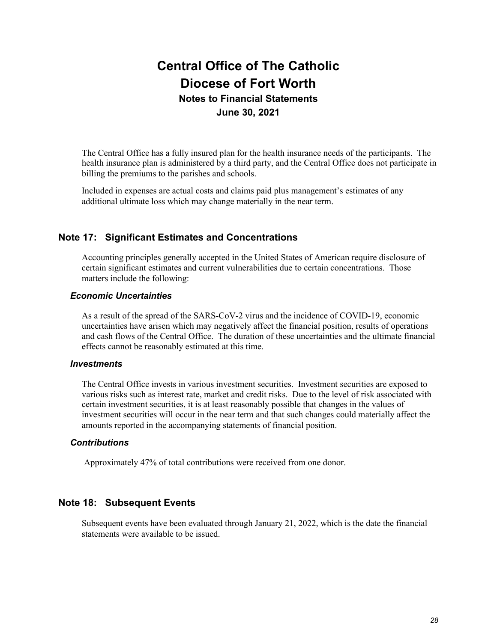The Central Office has a fully insured plan for the health insurance needs of the participants. The health insurance plan is administered by a third party, and the Central Office does not participate in billing the premiums to the parishes and schools.

Included in expenses are actual costs and claims paid plus management's estimates of any additional ultimate loss which may change materially in the near term.

### **Note 17: Significant Estimates and Concentrations**

Accounting principles generally accepted in the United States of American require disclosure of certain significant estimates and current vulnerabilities due to certain concentrations. Those matters include the following:

### *Economic Uncertainties*

As a result of the spread of the SARS-CoV-2 virus and the incidence of COVID-19, economic uncertainties have arisen which may negatively affect the financial position, results of operations and cash flows of the Central Office. The duration of these uncertainties and the ultimate financial effects cannot be reasonably estimated at this time.

### *Investments*

The Central Office invests in various investment securities. Investment securities are exposed to various risks such as interest rate, market and credit risks. Due to the level of risk associated with certain investment securities, it is at least reasonably possible that changes in the values of investment securities will occur in the near term and that such changes could materially affect the amounts reported in the accompanying statements of financial position.

### *Contributions*

Approximately 47% of total contributions were received from one donor.

### **Note 18: Subsequent Events**

Subsequent events have been evaluated through January 21, 2022, which is the date the financial statements were available to be issued.